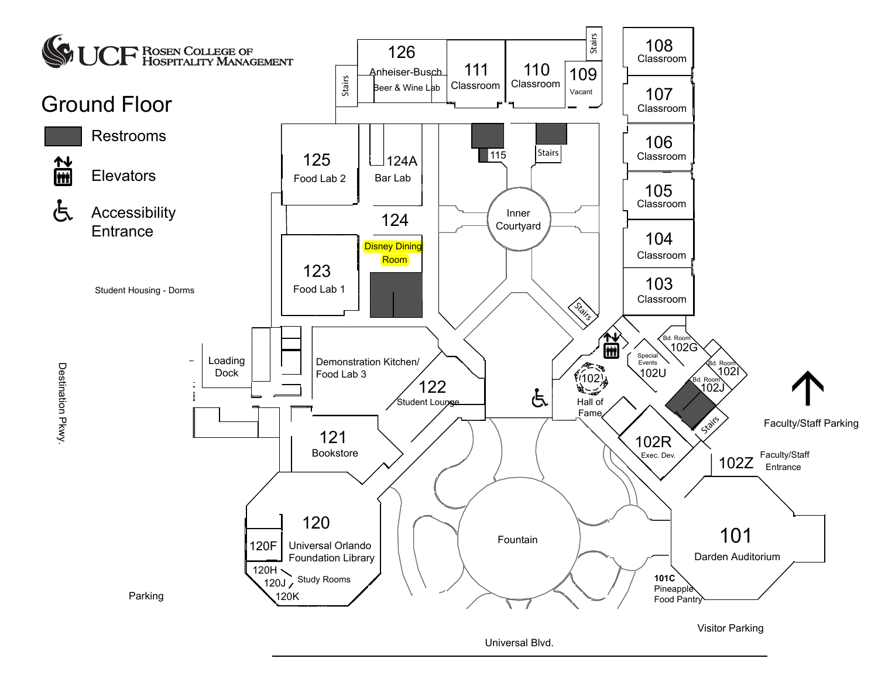